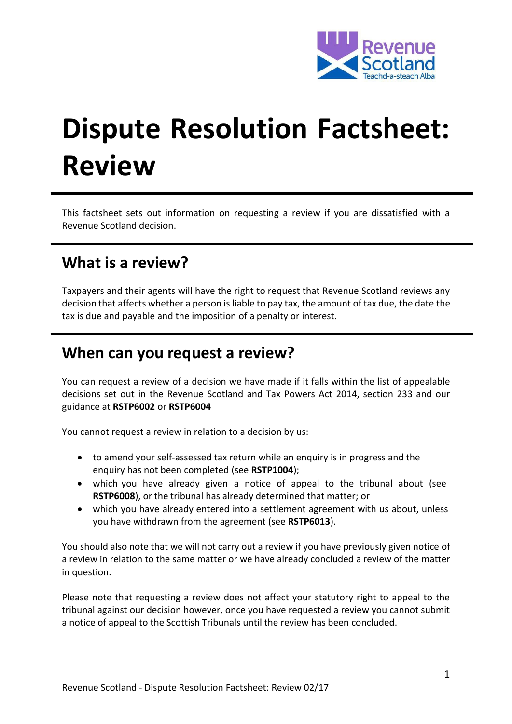

# **Dispute Resolution Factsheet: Review**

This factsheet sets out information on requesting a review if you are dissatisfied with a Revenue Scotland decision.

# **What is a review?**

Taxpayers and their agents will have the right to request that Revenue Scotland reviews any decision that affects whether a person is liable to pay tax, the amount of tax due, the date the tax is due and payable and the imposition of a penalty or interest.

#### **When can you request a review?**

You can request a review of a decision we have made if it falls within the list of appealable decisions set out in the Revenue Scotland and Tax Powers Act 2014, section 233 and our guidance at **[RSTP6002](https://www.revenue.scot/legislation/rstpa-legislation-guidance/dispute-resolution/rstp6002)** or **[RSTP6004](https://www.revenue.scot/legislation/rstpa-legislation-guidance/dispute-resolution/rstp6004)**

You cannot request a review in relation to a decision by us:

- to amend your self-assessed tax return while an enquiry is in progress and the enquiry has not been completed (see **[RSTP1004](https://www.revenue.scot/legislation/rstpa-legislation-guidance/tax-returns/rstp1004)**);
- which you have already given a notice of appeal to the tribunal about (see **[RSTP6008](https://www.revenue.scot/legislation/rstpa-legislation-guidance/dispute-resolution/rstp6008)**), or the tribunal has already determined that matter; or
- which you have already entered into a settlement agreement with us about, unless you have withdrawn from the agreement (see **[RSTP6013](https://www.revenue.scot/legislation/rstpa-legislation-guidance/dispute-resolution/rstp6013)**).

You should also note that we will not carry out a review if you have previously given notice of a review in relation to the same matter or we have already concluded a review of the matter in question.

Please note that requesting a review does not affect your statutory right to appeal to the tribunal against our decision however, once you have requested a review you cannot submit a notice of appeal to the Scottish Tribunals until the review has been concluded.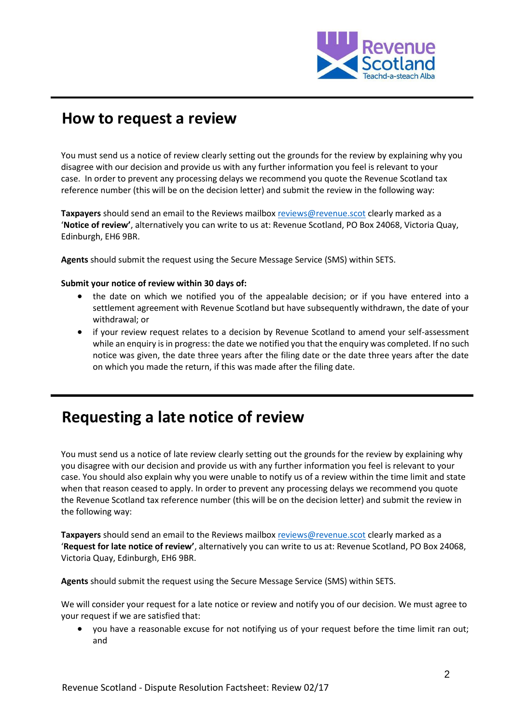

# **How to request a review**

You must send us a notice of review clearly setting out the grounds for the review by explaining why you disagree with our decision and provide us with any further information you feel is relevant to your case. In order to prevent any processing delays we recommend you quote the Revenue Scotland tax reference number (this will be on the decision letter) and submit the review in the following way:

**Taxpayers** should send an email to the Reviews mailbox [reviews@revenue.scot](mailto:reviews@revenue.scot) clearly marked as a '**Notice of review'**, alternatively you can write to us at: Revenue Scotland, PO Box 24068, Victoria Quay, Edinburgh, EH6 9BR.

**Agents** should submit the request using the Secure Message Service (SMS) within SETS.

#### **Submit your notice of review within 30 days of:**

- the date on which we notified you of the appealable decision; or if you have entered into a settlement agreement with Revenue Scotland but have subsequently withdrawn, the date of your withdrawal; or
- if your review request relates to a decision by Revenue Scotland to amend your self-assessment while an enquiry is in progress: the date we notified you that the enquiry was completed. If no such notice was given, the date three years after the filing date or the date three years after the date on which you made the return, if this was made after the filing date.

# **Requesting a late notice of review**

You must send us a notice of late review clearly setting out the grounds for the review by explaining why you disagree with our decision and provide us with any further information you feel is relevant to your case. You should also explain why you were unable to notify us of a review within the time limit and state when that reason ceased to apply. In order to prevent any processing delays we recommend you quote the Revenue Scotland tax reference number (this will be on the decision letter) and submit the review in the following way:

**Taxpayers** should send an email to the Reviews mailbox [reviews@revenue.scot](mailto:reviews@revenue.scot) clearly marked as a '**Request for late notice of review'**, alternatively you can write to us at: Revenue Scotland, PO Box 24068, Victoria Quay, Edinburgh, EH6 9BR.

**Agents** should submit the request using the Secure Message Service (SMS) within SETS.

We will consider your request for a late notice or review and notify you of our decision. We must agree to your request if we are satisfied that:

 you have a reasonable excuse for not notifying us of your request before the time limit ran out; and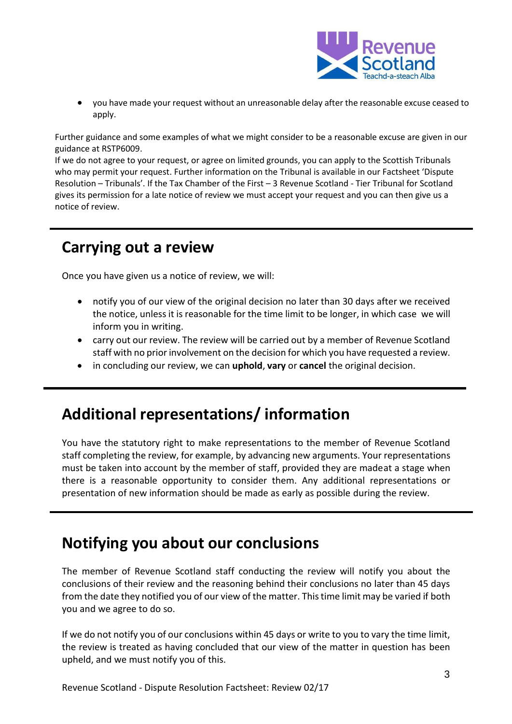

 you have made your request without an unreasonable delay after the reasonable excuse ceased to apply.

Further guidance and some examples of what we might consider to be a reasonable excuse are given in our guidance at RSTP6009.

If we do not agree to your request, or agree on limited grounds, you can apply to the Scottish Tribunals who may permit your request. Further information on the Tribunal is available in our Factsheet 'Dispute Resolution – Tribunals'. If the Tax Chamber of the First – 3 Revenue Scotland - Tier Tribunal for Scotland gives its permission for a late notice of review we must accept your request and you can then give us a notice of review.

# **Carrying out a review**

Once you have given us a notice of review, we will:

- notify you of our view of the original decision no later than 30 days after we received the notice, unless it is reasonable for the time limit to be longer, in which case we will inform you in writing.
- carry out our review. The review will be carried out by a member of Revenue Scotland staff with no prior involvement on the decision for which you have requested a review.
- in concluding our review, we can **uphold**, **vary** or **cancel** the original decision.

### **Additional representations/ information**

You have the statutory right to make representations to the member of Revenue Scotland staff completing the review, for example, by advancing new arguments. Your representations must be taken into account by the member of staff, provided they are madeat a stage when there is a reasonable opportunity to consider them. Any additional representations or presentation of new information should be made as early as possible during the review.

# **Notifying you about our conclusions**

The member of Revenue Scotland staff conducting the review will notify you about the conclusions of their review and the reasoning behind their conclusions no later than 45 days from the date they notified you of our view of the matter. This time limit may be varied if both you and we agree to do so.

If we do not notify you of our conclusions within 45 days or write to you to vary the time limit, the review is treated as having concluded that our view of the matter in question has been upheld, and we must notify you of this.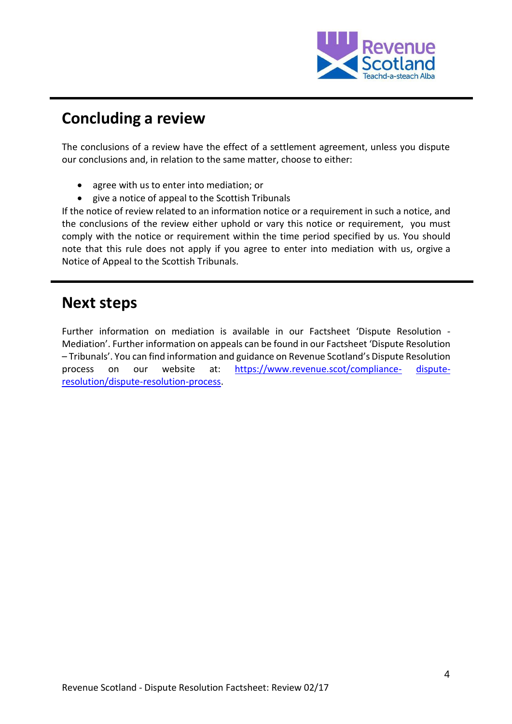

# **Concluding a review**

The conclusions of a review have the effect of a settlement agreement, unless you dispute our conclusions and, in relation to the same matter, choose to either:

- agree with us to enter into mediation; or
- give a notice of appeal to the Scottish Tribunals

If the notice of review related to an information notice or a requirement in such a notice, and the conclusions of the review either uphold or vary this notice or requirement, you must comply with the notice or requirement within the time period specified by us. You should note that this rule does not apply if you agree to enter into mediation with us, orgive a Notice of Appeal to the Scottish Tribunals.

# **Next steps**

Further information on mediation is available in our Factsheet 'Dispute Resolution - Mediation'. Further information on appeals can be found in our Factsheet 'Dispute Resolution – Tribunals'. You can find information and guidance on Revenue Scotland's Dispute Resolution process on our website at: [https://www.revenue.scot/compliance-](https://www.revenue.scot/compliance-dispute-resolution/dispute-resolution-process) [dispute](https://www.revenue.scot/compliance-dispute-resolution/dispute-resolution-process)[resolution/dispute-resolution-process.](https://www.revenue.scot/compliance-dispute-resolution/dispute-resolution-process)